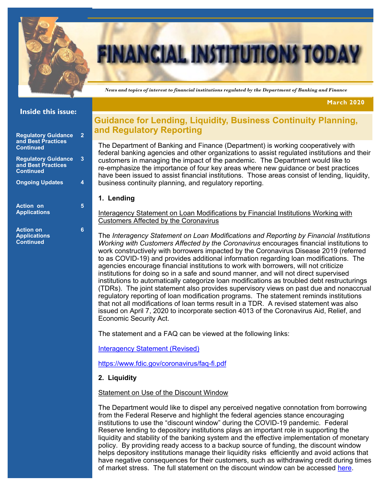

# **FINANCIAL INSTITUTIONS TODA**

 *News and topics of interest to financial institutions regulated by the Department of Banking and Finance*

**March 2020**

#### **Inside this issue:**

| <b>Regulatory Guidance</b><br>and Best Practices<br><b>Continued</b> | 2 |
|----------------------------------------------------------------------|---|
| <b>Regulatory Guidance</b><br>and Best Practices<br><b>Continued</b> | 3 |
| <b>Ongoing Updates</b>                                               | 4 |
| <b>Action on</b><br><b>Applications</b>                              | 5 |
| <b>Action on</b>                                                     |   |

**Applications Continued**

# **Guidance for Lending, Liquidity, Business Continuity Planning, and Regulatory Reporting**

The Department of Banking and Finance (Department) is working cooperatively with federal banking agencies and other organizations to assist regulated institutions and their customers in managing the impact of the pandemic. The Department would like to re-emphasize the importance of four key areas where new guidance or best practices have been issued to assist financial institutions. Those areas consist of lending, liquidity, business continuity planning, and regulatory reporting.

#### **1. Lending**

Interagency Statement on Loan Modifications by Financial Institutions Working with Customers Affected by the Coronavirus

The *Interagency Statement on Loan Modifications and Reporting by Financial Institutions Working with Customers Affected by the Coronavirus* encourages financial institutions to work constructively with borrowers impacted by the Coronavirus Disease 2019 (referred to as COVID-19) and provides additional information regarding loan modifications. The agencies encourage financial institutions to work with borrowers, will not criticize institutions for doing so in a safe and sound manner, and will not direct supervised institutions to automatically categorize loan modifications as troubled debt restructurings (TDRs). The joint statement also provides supervisory views on past due and nonaccrual regulatory reporting of loan modification programs. The statement reminds institutions that not all modifications of loan terms result in a TDR. A revised statement was also issued on April 7, 2020 to incorporate section 4013 of the Coronavirus Aid, Relief, and Economic Security Act.

The statement and a FAQ can be viewed at the following links:

[Interagency Statement \(Revised\)](https://www.fdic.gov/news/news/press/2020/pr20049a.pdf?source=govdelivery&utm_medium=email&utm_source=govdelivery)

[https://www.fdic.gov/coronavirus/faq](https://www.fdic.gov/coronavirus/faq-fi.pdf)-fi.pdf

#### **2. Liquidity**

#### Statement on Use of the Discount Window

The Department would like to dispel any perceived negative connotation from borrowing from the Federal Reserve and highlight the federal agencies stance encouraging institutions to use the "discount window" during the COVID-19 pandemic. Federal Reserve lending to depository institutions plays an important role in supporting the liquidity and stability of the banking system and the effective implementation of monetary policy. By providing ready access to a backup source of funding, the discount window helps depository institutions manage their liquidity risks efficiently and avoid actions that have negative consequences for their customers, such as withdrawing credit during times of market stress. The full statement on the discount window can be accessed [here.](https://www.fdic.gov/news/news/press/2020/pr20028a.pdf)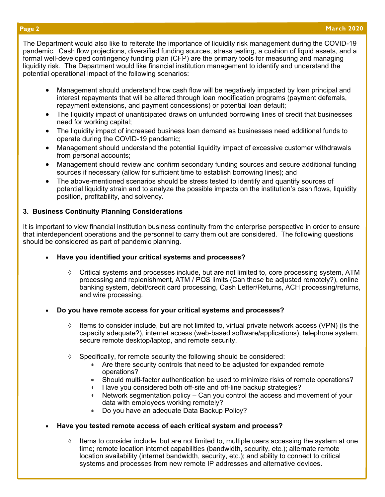The Department would also like to reiterate the importance of liquidity risk management during the COVID-19 pandemic. Cash flow projections, diversified funding sources, stress testing, a cushion of liquid assets, and a formal well-developed contingency funding plan (CFP) are the primary tools for measuring and managing liquidity risk. The Department would like financial institution management to identify and understand the potential operational impact of the following scenarios:

- Management should understand how cash flow will be negatively impacted by loan principal and interest repayments that will be altered through loan modification programs (payment deferrals, repayment extensions, and payment concessions) or potential loan default;
- The liquidity impact of unanticipated draws on unfunded borrowing lines of credit that businesses need for working capital;
- The liquidity impact of increased business loan demand as businesses need additional funds to operate during the COVID-19 pandemic;
- Management should understand the potential liquidity impact of excessive customer withdrawals from personal accounts;
- Management should review and confirm secondary funding sources and secure additional funding sources if necessary (allow for sufficient time to establish borrowing lines); and
- The above-mentioned scenarios should be stress tested to identify and quantify sources of potential liquidity strain and to analyze the possible impacts on the institution's cash flows, liquidity position, profitability, and solvency.

#### **3. Business Continuity Planning Considerations**

It is important to view financial institution business continuity from the enterprise perspective in order to ensure that interdependent operations and the personnel to carry them out are considered. The following questions should be considered as part of pandemic planning.

- **Have you identified your critical systems and processes?** 
	- $\Diamond$  Critical systems and processes include, but are not limited to, core processing system, ATM processing and replenishment, ATM / POS limits (Can these be adjusted remotely?), online banking system, debit/credit card processing, Cash Letter/Returns, ACH processing/returns, and wire processing.
- **Do you have remote access for your critical systems and processes?** 
	- $\Diamond$  Items to consider include, but are not limited to, virtual private network access (VPN) (Is the capacity adequate?), internet access (web-based software/applications), telephone system, secure remote desktop/laptop, and remote security.
	- $\Diamond$  Specifically, for remote security the following should be considered:
		- Are there security controls that need to be adjusted for expanded remote operations?
		- Should multi-factor authentication be used to minimize risks of remote operations?
		- Have you considered both off-site and off-line backup strategies?
		- Network segmentation policy Can you control the access and movement of your data with employees working remotely?
		- Do you have an adequate Data Backup Policy?
- **Have you tested remote access of each critical system and process?** 
	- $\Diamond$  Items to consider include, but are not limited to, multiple users accessing the system at one time; remote location internet capabilities (bandwidth, security, etc.); alternate remote location availability (internet bandwidth, security, etc.); and ability to connect to critical systems and processes from new remote IP addresses and alternative devices.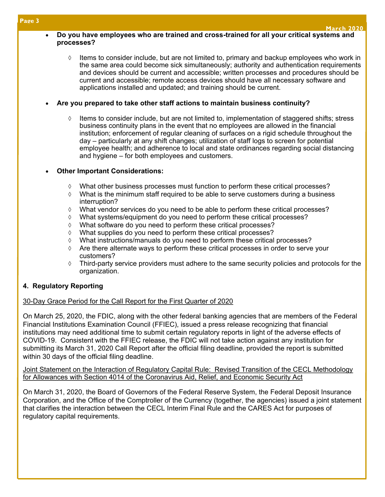#### • **Do you have employees who are trained and cross-trained for all your critical systems and processes?**

 $\Diamond$  Items to consider include, but are not limited to, primary and backup employees who work in the same area could become sick simultaneously; authority and authentication requirements and devices should be current and accessible; written processes and procedures should be current and accessible; remote access devices should have all necessary software and applications installed and updated; and training should be current.

#### • **Are you prepared to take other staff actions to maintain business continuity?**

 Items to consider include, but are not limited to, implementation of staggered shifts; stress business continuity plans in the event that no employees are allowed in the financial institution; enforcement of regular cleaning of surfaces on a rigid schedule throughout the day – particularly at any shift changes; utilization of staff logs to screen for potential employee health; and adherence to local and state ordinances regarding social distancing and hygiene – for both employees and customers.

### • **Other Important Considerations:**

- What other business processes must function to perform these critical processes?
- $\Diamond$  What is the minimum staff required to be able to serve customers during a business interruption?
- $\Diamond$  What vendor services do you need to be able to perform these critical processes?
- $\Diamond$  What systems/equipment do you need to perform these critical processes?
- What software do you need to perform these critical processes?
- What supplies do you need to perform these critical processes?
- What instructions/manuals do you need to perform these critical processes?
- $\Diamond$  Are there alternate ways to perform these critical processes in order to serve your customers?
- $\Diamond$  Third-party service providers must adhere to the same security policies and protocols for the organization.

# **4. Regulatory Reporting**

# 30-Day Grace Period for the Call Report for the First Quarter of 2020

On March 25, 2020, the FDIC, along with the other federal banking agencies that are members of the Federal Financial Institutions Examination Council (FFIEC), issued a press release recognizing that financial institutions may need additional time to submit certain regulatory reports in light of the adverse effects of COVID-19. Consistent with the FFIEC release, the FDIC will not take action against any institution for submitting its March 31, 2020 Call Report after the official filing deadline, provided the report is submitted within 30 days of the official filing deadline.

Joint Statement on the Interaction of Regulatory Capital Rule: Revised Transition of the CECL Methodology for Allowances with Section 4014 of the Coronavirus Aid, Relief, and Economic Security Act

On March 31, 2020, the Board of Governors of the Federal Reserve System, the Federal Deposit Insurance Corporation, and the Office of the Comptroller of the Currency (together, the agencies) issued a joint statement that clarifies the interaction between the CECL Interim Final Rule and the CARES Act for purposes of regulatory capital requirements.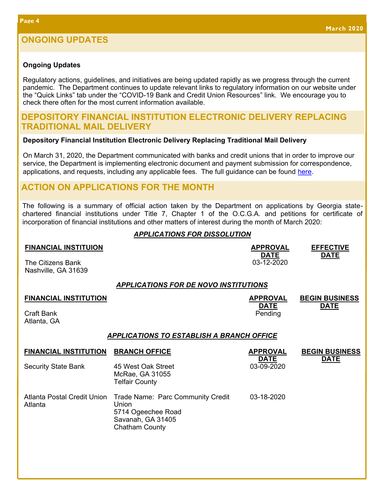#### **Ongoing Updates**

Regulatory actions, guidelines, and initiatives are being updated rapidly as we progress through the current pandemic. The Department continues to update relevant links to regulatory information on our website under the "Quick Links" tab under the "COVID-19 Bank and Credit Union Resources" link. We encourage you to check there often for the most current information available.

#### **DEPOSITORY FINANCIAL INSTITUTION ELECTRONIC DELIVERY REPLACING TRADITIONAL MAIL DELIVERY**

#### **Depository Financial Institution Electronic Delivery Replacing Traditional Mail Delivery**

On March 31, 2020, the Department communicated with banks and credit unions that in order to improve our service, the Department is implementing electronic document and payment submission for correspondence, applications, and requests, including any applicable fees. The full guidance can be found [here.](https://dbf.georgia.gov/banks-holding-companies/publications-and-guidance)

# **ACTION ON APPLICATIONS FOR THE MONTH**

The following is a summary of official action taken by the Department on applications by Georgia statechartered financial institutions under Title 7, Chapter 1 of the O.C.G.A. and petitions for certificate of incorporation of financial institutions and other matters of interest during the month of March 2020:

#### *APPLICATIONS FOR DISSOLUTION*

| <b>FINANCIAL INSTITUION</b><br><b>The Citizens Bank</b><br>Nashville, GA 31639 |                                                                                                                | <b>APPROVAL</b><br><b>DATE</b><br>03-12-2020 | <b>EFFECTIVE</b><br><b>DATE</b> |  |  |  |  |
|--------------------------------------------------------------------------------|----------------------------------------------------------------------------------------------------------------|----------------------------------------------|---------------------------------|--|--|--|--|
| <b>APPLICATIONS FOR DE NOVO INSTITUTIONS</b>                                   |                                                                                                                |                                              |                                 |  |  |  |  |
| <b>FINANCIAL INSTITUTION</b>                                                   |                                                                                                                | <b>APPROVAL</b>                              | <b>BEGIN BUSINESS</b>           |  |  |  |  |
| <b>Craft Bank</b><br>Atlanta, GA                                               |                                                                                                                | <b>DATE</b><br>Pending                       | <b>DATE</b>                     |  |  |  |  |
| <b>APPLICATIONS TO ESTABLISH A BRANCH OFFICE</b>                               |                                                                                                                |                                              |                                 |  |  |  |  |
| <b>FINANCIAL INSTITUTION</b>                                                   | <b>BRANCH OFFICE</b>                                                                                           | <b>APPROVAL</b>                              | <b>BEGIN BUSINESS</b>           |  |  |  |  |
| <b>Security State Bank</b>                                                     | 45 West Oak Street<br>McRae, GA 31055<br><b>Telfair County</b>                                                 | <b>DATE</b><br>03-09-2020                    | <b>DATE</b>                     |  |  |  |  |
| <b>Atlanta Postal Credit Union</b><br>Atlanta                                  | Trade Name: Parc Community Credit<br>Union<br>5714 Ogeechee Road<br>Savanah, GA 31405<br><b>Chatham County</b> | 03-18-2020                                   |                                 |  |  |  |  |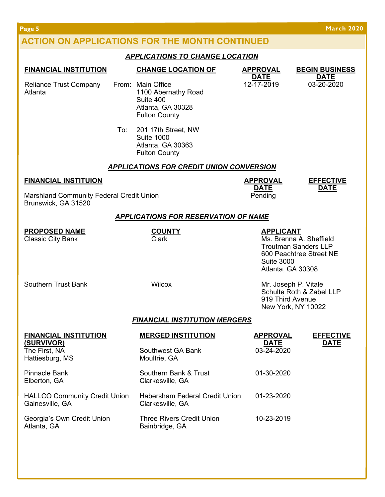**Page 5 March 2020**

# **ACTION ON APPLICATIONS FOR THE MONTH CONTINUED**

### *APPLICATIONS TO CHANGE LOCATION*

| <b>FINANCIAL INSTITUTION</b>                                           |        | <b>CHANGE LOCATION OF</b>                                                                          | <b>APPROVAL</b>                                                                                                                                 | <b>BEGIN BUSINESS</b>                                                  |  |  |
|------------------------------------------------------------------------|--------|----------------------------------------------------------------------------------------------------|-------------------------------------------------------------------------------------------------------------------------------------------------|------------------------------------------------------------------------|--|--|
| <b>Reliance Trust Company</b><br>Atlanta                               |        | From: Main Office<br>1100 Abernathy Road<br>Suite 400<br>Atlanta, GA 30328<br><b>Fulton County</b> | <b>DATE</b><br>12-17-2019                                                                                                                       | <b>DATE</b><br>03-20-2020                                              |  |  |
|                                                                        | To:    | 201 17th Street, NW<br><b>Suite 1000</b><br>Atlanta, GA 30363<br><b>Fulton County</b>              |                                                                                                                                                 |                                                                        |  |  |
|                                                                        |        | <b>APPLICATIONS FOR CREDIT UNION CONVERSION</b>                                                    |                                                                                                                                                 |                                                                        |  |  |
| <b>FINANCIAL INSTITUION</b>                                            |        |                                                                                                    | <b>APPROVAL</b><br><b>DATE</b>                                                                                                                  | <b>EFFECTIVE</b><br><b>DATE</b>                                        |  |  |
| <b>Marshland Community Federal Credit Union</b><br>Brunswick, GA 31520 |        |                                                                                                    | Pending                                                                                                                                         |                                                                        |  |  |
|                                                                        |        | <b>APPLICATIONS FOR RESERVATION OF NAME</b>                                                        |                                                                                                                                                 |                                                                        |  |  |
| <b>PROPOSED NAME</b><br>Classic City Bank                              |        | <b>COUNTY</b><br>Clark                                                                             | <b>APPLICANT</b><br>Ms. Brenna A. Sheffield<br><b>Troutman Sanders LLP</b><br>600 Peachtree Street NE<br><b>Suite 3000</b><br>Atlanta, GA 30308 |                                                                        |  |  |
| <b>Southern Trust Bank</b>                                             | Wilcox |                                                                                                    | 919 Third Avenue                                                                                                                                | Mr. Joseph P. Vitale<br>Schulte Roth & Zabel LLP<br>New York, NY 10022 |  |  |
| <b>FINANCIAL INSTITUTION MERGERS</b>                                   |        |                                                                                                    |                                                                                                                                                 |                                                                        |  |  |
| <b>FINANCIAL INSTITUTION</b><br>(SURVIVOR)                             |        | <b>MERGED INSTITUTION</b>                                                                          | <b>APPROVAL</b><br><b>DATE</b>                                                                                                                  | <b>EFFECTIVE</b><br><b>DATE</b>                                        |  |  |
| The First, NA<br>Hattiesburg, MS                                       |        | Southwest GA Bank<br>Moultrie, GA                                                                  | 03-24-2020                                                                                                                                      |                                                                        |  |  |
| <b>Pinnacle Bank</b><br>Elberton, GA                                   |        | Southern Bank & Trust<br>Clarkesville, GA                                                          | 01-30-2020                                                                                                                                      |                                                                        |  |  |
| <b>HALLCO Community Credit Union</b><br>Gainesville, GA                |        | Habersham Federal Credit Union<br>Clarkesville, GA                                                 | 01-23-2020                                                                                                                                      |                                                                        |  |  |
| Georgia's Own Credit Union<br>Atlanta, GA                              |        | <b>Three Rivers Credit Union</b><br>Bainbridge, GA                                                 | 10-23-2019                                                                                                                                      |                                                                        |  |  |